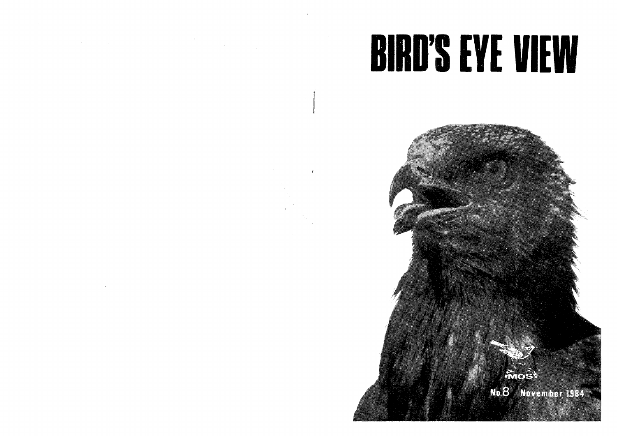# **BIRD'S EYE VIEW**

RA SER

No. 8 November 1984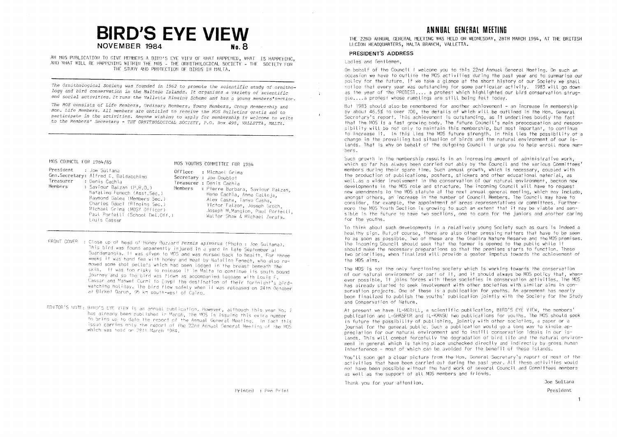# **BIRD'S EYE VIEW** NOVEMBER 1984 No 8

AN MOS PUBLICATION TO GIVE MEMBERS A BIRD'S EYE VIEW OF WHAT HAPPENED, WHAT IS HAPPENING. AND WHAT WILL BE HAPPENING WITHIN THE MOS - THE ORNITHOLOGICAL SOCIETY - THE SOCIETY FOR THE STUDY AND PROTECTION OF BIRDS IN MALTA.

The Ornithological Society was founded in 1962 to promote the scientific study of ornithology and bird conservation in the Maltese Islands. It organises a variety of scientific and social activities. It runs the Valletta Ringing Scheme and has a young members'section.

The MOS consists of Life Members, Ordinary Members, Young Members, Group Membership and Hon. Life Members. All members are entitled to receive the MOS Bulletins gratis and to participate in the activities. Anyone wishing to apply for membership is welcome to write to the Members' Secretary - THE ORNITHOLOGICAL SOCIETY, P.O. Box 498, VALLETTA, MALTA.

#### MOS COUNCIL FOR 1984/85

MOS YOUTHS COMMITTEE FOR 1984

President : Joe Sultana Officer : Michael Grima Gen.Secretary: Alfred E. Baldacchino Treasurer : Denis Cachia Members : Saviour Balzan (P.R.O.) Natalino Fenech (Asst.Sec.) Raymond Galea (Members Sec.) Charles Gauci (Ringing Sec.) Michael Grima (MOSŸ Officer) Paul Portelli (School Del.Off.) Louis Cassar

Secretary : Joe Doublet Treasurer : Denis Cachia Members : Pierre Barbara, Saviour Batzan, Rene Cachia, Anna Calleia. Alex Casha, Tanya Casha. Victor Falzon, Joseph Grech. Joseph M. Mangion, Paul Portelli. Walter Shaw & Michael Zerafa.

- FRONT COVER : Close up of head of Honey Buzzard Pernis apivorus (Photo : Joe Sultana). This bird was found apparently injured in a yard in late September all Guardamangia. It was given to MOS and was nursed back to health. For three weeks if was hand fed with honey and meat by Natalino Fenech, who also removed some shot pellets which had been lodged in the breast beneath the skin. If was too risky to release it in Malta to continue its south bound journey and so the bird was flown as accompanied ludgage with Louis F. Cassar and Manwet Curmi to Edypt the destination of their fortnight's birdwatching holiday. The bird flew safely when if was released on 24th October at Birket Qarun, 95 km south-west of Cairo.
- EDITOR'S NOTE: BIRD'S EYE VIEW is an annual publication. However, although this year No. 7 has already been published in March, the MOS is issuing this extra number to bring up to date the report of the Annual General Meeting. In fact this issue carries only the report of the 22nd Annual General Meeting of the MOS which was hetd on 28th March 1984

Printed : Pen Print

# ANNIIAI GENERAI MEETING

THE 22ND ANNUAL GENERAL MEETING WAS HELD ON WEDNESDAY, 28TH MARCH 1984, AT THE BRITISH LEGION HEADOUARTERS, MALTA BRANCH, VALLETTA.

#### PRESIDENT'S ADDRESS

Ladies and Gentlemen.

On behalf of the Council I welcome you to this 22nd Annual General Meeting, On such an occasion we have to outline the MOS activities during the past year and to summarise our policy for the future. If we take a glance at the short history of our Society we shall notice that every year was outstanding for some particular activity. 1983 will go down as the year of the PROTEST.... a protest which highlighted our bird conservation strugale....a protest whose rumblings are still being felt today.

But 1983 should also be remembered for another achievement - an increase in membership by about 46.5% to over 700, the details of which will be outlined in the Hon, General Secretary's report. This achievement is outstanding, as it underlines boldly the fact that the MOS is a fast growing body. The future Council's main preoccupation and responsibility will be not only to maintain this membership, but most important, to continue to increase it. In this lies the MOS future strength, In this lies the possibility of a change in the prevailing bad situation of birds and the natural environment of our islands. That is why on behalf of the outgoing Council I grae you to help enroll more memhare

Such arowth in the membership results in an increasing amount of administrative work. which so far has always been carried out ably by the Council and the various Committees' members during their spare time. Such annual growth, which is necessary, coupled with the production of publications, posters, stickers and other educational material, as well as a wider involvement in the conservation of our natural environment, beckon new developments in the MOS role and structure. The incoming Council will have to request new amendments to the MOS statute at the next annual general meeting, which may include, amongst others, an increase in the number of Council Members. The Council may have to consider, for example, the appointment of areas representatives or committees. Furthermore the MOS Youth Section is growing to such an extent that it may be viable and sensible in the future to have two sections, one to care for the juniors and another caring for the youths.

To think about such developments in a relatively young Society such as ours is indeed a healthy sign. But of course, there are also other pressing matters that have to be seen to as soon as possible. Two of these are the Ghadira Nature Reserve and the MOS premises. The incoming Council should seek that the former is opened to the public while it should make the necessary preparations so that the premises starts to function. These two priorities, when finalized will provide a geater impetus towards the achievement of the MOS aims.

The MOS is not the only functioning society which is working towards the conservation of our natural environment or part of it, and it should always be MOS policy that, whenever possible. It joins forces with these societies in conservation activities. The MOS has already started to seek involvement with other societies with similar aims in conservation projects. One of these is a publication for youths. An agreement has nearly been finalized to publish the youths' publication jointly with the Society for the Study and Conservation of Nature.

At present we have IL-MERILL, a scientific publication, BIRD'S EYE VIEW, the members' publication and L-GHASFUR and IL-KANGU two publications for youths. The MOS should seek in future the possibility of publishing, jointly with other societies, a paper or a journal for the general public. Such a publication would go a long way to kindle appreciation for our natural environment and to instill conservation ideals in our islands. This will combat forcefully the degradation of bird life and the natural environment in general which is taking place unchecked directly and indirectly by gross human interference - most of which can be avoided for the benefit of these islands.

You'll soon get a clear picture from the Hon. General Secretary's report of most of the activities that have been carried out during the past year. All these activities would not have been possible without the hard work of several Council and Committees members as well as the support of all MOS members and friends.

Thank you for your attention.

Joe Sultana President

 $\ddot{\phantom{1}}$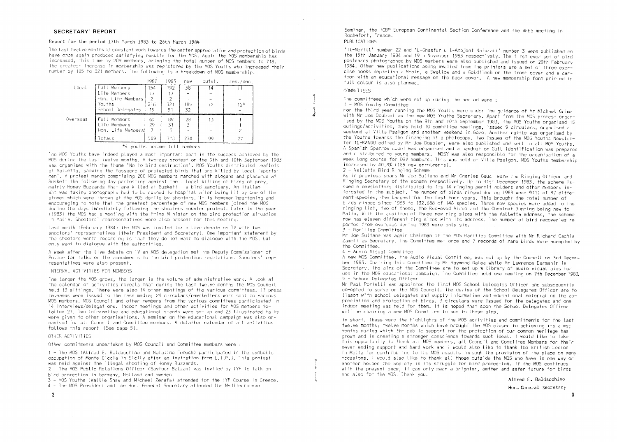#### Report for the period 17th March 1983 to 28th March 1984

The tast twelve months of constant work towards the better appreciation and protection of birds have once again produced satisfying results for the MOS. Again the MOS membership has increased, this time by 209 members, bringing the total number of MOS members to 718. The greatest increase in membership was registered by the MOS Youths who increased their number by 185 to 321 members. The following is a breakdown of MOS membership.

|          |                     | 1982 | 1983 | new | outst. | res./dec. |
|----------|---------------------|------|------|-----|--------|-----------|
| Local    | <b>Full Members</b> | 54   | 192  | 58  | 14     |           |
|          | Life Members        | 17   | 17   |     |        |           |
|          | Hon, Life Members   | 2    |      |     |        |           |
|          | Youths              | 216  | 321  | 185 | 72     | $12*$     |
|          | School Delegates    | 19   | 51   | 32  |        |           |
| Overseas | Full Members        | 65   | 89   | 28  | 13     |           |
|          | Life Members        | 29   | 31   | 3   |        |           |
|          | Hon. Life Members   | 7    |      |     |        |           |
|          | lotals              | 509  | 718  | 274 | 99     | 27        |

#### \*4 vouths became full members

The MOS Youths have indeed played a most important part in the success achieved by the MOS during the last twelve months. A two-day protest on the 9th and 10th September 1983 was organised with the theme 'No to bird destruction'. MOS Youths distributed leaflets at Valletta, showing the massacre of protected birds that are killed by local 'sportsmen'. A profest march comprising 200 MOS members marched with stogans and placards at Buskett the following day protesting against the illegal killing of birds of prev. mainty Honey Buzzards that are kitled at Buskett - a bird sanctuary. An Italian who was faking photographs had to be rushed to hospital after being hit by one of the stones which were thrown at the MOS defile by shooters. It is however heartening and encouraging to note that the greatest percentage of new MOS members joined the MOS during the days immediately following the shooters counter protest, Later in the year (1983) the MOS had a meeting with the Prime Minister on the bird protection situation in Malia. Shooters' representatives were also present for this meeting.

Last month (February 1984) the MOS was invited for a live debate on IV with two shooters' representatives (their President and Secretary). One important statement by the shooters worth recording is that they do not want to dialogue with the MOS, but only want to dialogue with the authorities.

A week after the live debate on TV an MOS delegation met the Deputy Commissioner of Police for talks on the amendments to the bird protection regulations. Shooters' representatives were also present.

#### INTERNAL ACTIVITIES FOR MEMBERS

The targer the MOS grows, the targer is the volume of administrative work. A took at the calendar of activities reveals that during the last twelve months the MOS Council held 13 sittings. There were also 14 other meetings of the various committees, 17 press releases were issued to the mass media: 24 circulars/newsletters were sent to various MOS members. MOS Council and other members from the various committees participated in 14 interviews/delegations. Indoor meetings and other activities for MOS members totalled 27. Two informative and educational stands were set up and 23 illustrated talks were given to other organisations. A seminar on the educational campaign was also organised for all Council and Committee mombers. A detailed calendar of all activities follows this report (See page 5),

#### OTHER ACTIVITIES

Other commitments undertaken by MOS Council and Committee members were:

1 - The MOS (Alfred E. Baldacchino and Natalino Fenech) participated in the symbolic occupation of Monte Ciccia in Sicily after an invitation from L.I.P.U. This protest was held against the illegal shooting of Honey Buzzards.

2 - The MOS Public Relations Officer (Saviour Balzan) was invited by IYF to talk on bird protection in Germany, Holland and Sweden.

3 - MOS Youths (Wallie Shaw and Michael Zerafa) attended for the IYF Course in Greece, 4 - The MOS President and the Hon, General Secretary attended the Mediterranean

Seminar, the ICBP European Continental Section Conference and the WEBS meeting in Rochefort, France.

#### PUBLICATIONS

'Il-Merill' number 22 and 'L-Ghasfur u l-Ambjent Naturali' number 3 were published on the 15th January 1984 and 19th November 1983 respectively. The first ever set of bird postcards photographed by MOS members were also published and issued on 20th February 1984. Other new publications being awaited from the printers are a set of three exercise books depicting a Robin, a Swallow and a Goldfinch on the front cover and a carfoon with an educational message on the back cover. A new membership form printed in full colour is also planned.

### COMMITTEES.

The committees which were set up during the period were :

#### 1 - MOS Youths Committee

For the third year running the MOS Youths were under the guidance of Mr Michael Grima with Mr Joe Doublet as the new MOS Youths Secretary. Apart from the MOS protest organised by the MOS Youths on the 9th and 10th September 1983, the MOS Youths organised 15 outings/activities, they held 10 committee meetings, issued 9 circulars, organised a weekend at Villa Psaigon and another weekend in Gozo. Another raffle was organised by the Youths towards the financing of a photocopy. Two issues of the MOS Youths Newsletfer IL-KANGU edited by Mr Joe Doublet, were also published and sent to all MOS Youths. A Spanish Sparrow count was organised and a handout on Gull identification was prepared and distributed to voung members. MOSY was also responsible for the organisation of a week long course for DBV members. This was held at Villa Psaigon. MOS Youths membership increased by 40.8% (185 new enrolments),

2 - Valletta Bird Ringing Scheme

As in previous vears Mr Joe Sultana and Mr Charles Gauci were the Ringing Officer and Ringing Secretary of the scheme respectively. Up to 31st December 1983, the scheme issued 6 newsletters distributed to its 14 ringing permit holders and other members interested in the subject. The number of birds ringed during 1983 were 9111 of 87 different species, the Largest for the last four years. This brought the total number of birds ringed since 1965 to 132,688 of 148 species. Three new species were added to the ringing list, two of these, the Red-eyed Vireo and the Chestnut Bunting being new to Malta. With the addition of three new ring sizes with the Valletta address. The scheme now has eleven different ring sizes with its address. The number of bird recoveries reported from overseas during 1983 were only six.

 $3 -$  Rarifies Committee

Mr Joe Sultana was again Chairman of the MOS Rarities Committee with Mr Richard Cachia Zammit as Secretary. The Committee met once and 7 records of rare birds were accepted by the Committee.

#### $4 -$  Audio Visual Committee

A new MOS Committee, the Audio Visual Committee, was set up by the Council on 3rd December 1983. Chairing this Committee is Mr Raymond Galea while Mr Lawrence Darmanin is Secretary. The aims of the Committee are to set up a library of audio visual aids for use in the MOS educational campaign. The Committee held one meeting on 7th December 1983 5 - School Delegates Officer

Mr Paul Portelli was appointed the first MOS School Delegates Officer and subsequently co-opted to serve on the MOS Council. The duties of the School Delegates Officer are to tiason with school delegates and supply informative and educational material on the appreciation and protection of birds. 3 circulars were issued for the delegates and one indoor meeting was held for them. It is hoped that soon the School Delegates Officer will be chairing a new MOS Committee to see to these aims.

In short, these were the highlights of the MOS activities and commitments for the last twelve months: twelve months which have brought the MOS closer to achieving its aims; months during which the public support for the protection of our common heritage has grown and is creating a stronger conscience towards such ideal. I would like to take this opportunity to thank all MOS members, all Council and Committee Members for their never ending support and hard work and I would also like to thank the British Legion in Malta for contributing to the MOS results through the provision of the place on many occasions. I would also like to thank all those outside the MOS who have in one way or another helped the Society in its struggle for bird protection. If the MOS continues with the present pace, it can only mean a brighter, better and safer future for birds and also for the MOS. Thank you.

Alfred E. Baldacchino

Hon. General Secretary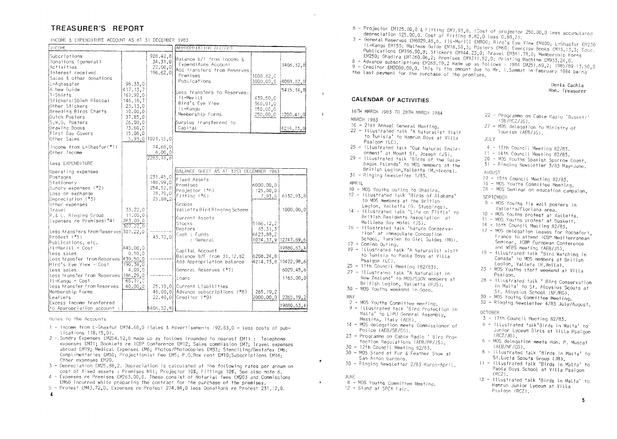# TREASURER'S REPORT

| INCOME & EXPENDITURE ACCOUNT AS AT 31 DECEMBER 1983 |  |  |  |  |
|-----------------------------------------------------|--|--|--|--|
|-----------------------------------------------------|--|--|--|--|

| <b>INCOME</b>                                                                                     |                                                          |                                            | APPROPRIATION ACCOUNT                                                                                       |                                  |                        |  |  |
|---------------------------------------------------------------------------------------------------|----------------------------------------------------------|--------------------------------------------|-------------------------------------------------------------------------------------------------------------|----------------------------------|------------------------|--|--|
| Subcriptions<br>Donations (general)<br>Activities<br>Interest received<br>Sales & other donations |                                                          | 928.42,8<br>34.31.0<br>22.00,0<br>196.62,0 | Balance b/f from Income &<br>Expenditure Account<br>Add transfers from Reserves<br>Premises<br>Publications | 1008.82.C<br>3000.00.0           | 1406.32,8<br>4008.82,0 |  |  |
| L-Aghasafar                                                                                       | 98.33,0                                                  |                                            |                                                                                                             |                                  |                        |  |  |
| A New Guide<br>1-Shirts<br>Stickers(Sbieh Hielsa)<br>Other Stickers<br>Breeding Birds Charts      | 417.13.7<br>167.92,0<br>146.16,7<br>23, 13, 0<br>10.00,0 |                                            | Less transfers to Reserves:<br>Il-Merill<br>Bird's Eye View<br>Il-Kangu                                     | 439.50.0<br>360.91.0<br>150.00,0 | 5415.14,8              |  |  |
| Dutch Posters                                                                                     | 37.85,0                                                  |                                            | Membership Forms                                                                                            | 250.00.0                         | 1200.41,0              |  |  |
| S.W.G. Posters<br>Drawing Books<br>First Day Covers                                               | 26.00.0<br>73.60,0<br>15,08,0                            |                                            | Surplus transferred to<br>Capital                                                                           |                                  | 4214.73,8              |  |  |
| Other Sales                                                                                       |                                                          | $5.93,0$   1021, 15, 0                     |                                                                                                             |                                  |                        |  |  |
|                                                                                                   |                                                          |                                            |                                                                                                             |                                  |                        |  |  |
| Income from L-Ghasfur(*1)<br>Other income                                                         |                                                          | 74.68.0<br>6.00,0<br>2283.18,8             |                                                                                                             |                                  |                        |  |  |
| Less EXPENDITURE                                                                                  |                                                          |                                            |                                                                                                             |                                  |                        |  |  |
| Operating expenses                                                                                |                                                          |                                            | BALANCE SHEET AS AT 31ST DECEMBER 1983                                                                      |                                  |                        |  |  |
| Postages                                                                                          |                                                          | 231,45,0                                   |                                                                                                             |                                  |                        |  |  |
| Stationery                                                                                        |                                                          | 148,99,0                                   | Fixed Assets                                                                                                |                                  |                        |  |  |
| Sundry expenses (*2)                                                                              |                                                          | 254.52,8                                   | Premises                                                                                                    | 6000.00,0                        |                        |  |  |
| Loss on exchange                                                                                  |                                                          | 78, 70, 0                                  | Projector (*6)                                                                                              | 125.00,0                         |                        |  |  |
| Depreciation (*3)                                                                                 |                                                          | 25.38,2                                    | Fitting (*6)                                                                                                | 7.93,8                           | 6132.93.8              |  |  |
| Other expenses                                                                                    |                                                          |                                            | Groups                                                                                                      |                                  |                        |  |  |
| lravet                                                                                            | 33.22,0                                                  |                                            | Valletta Bird Ringing Scheme                                                                                |                                  | 1000.00, 0             |  |  |
| P.& L. Ringing Group                                                                              | 11.00.0                                                  |                                            |                                                                                                             |                                  |                        |  |  |
| Expenses re Premises (*4)                                                                         | 263.00,0                                                 |                                            | Current Asseis                                                                                              |                                  |                        |  |  |
|                                                                                                   | 307.22,0                                                 |                                            | Stocks<br>Debtors                                                                                           | 5166.12,2                        |                        |  |  |
| less transfers from Reserves 307.22.0                                                             |                                                          |                                            | Cash : Funds                                                                                                | 33.31,3<br>6423.88,2             |                        |  |  |
| Protest (*5)                                                                                      |                                                          | 43.72,0                                    | : General                                                                                                   |                                  | 1074.37.9 12747.69,6   |  |  |
| Publications, etc.                                                                                |                                                          |                                            |                                                                                                             |                                  |                        |  |  |
| Il-Merill - Cost                                                                                  | 440.00.0                                                 |                                            | Capital Account                                                                                             |                                  | 19880.63.4             |  |  |
| less sales                                                                                        | 0.50, 0                                                  |                                            | Balance B/F from 31.12.82                                                                                   | 6208.24,8                        |                        |  |  |
| less transfer from Reserves 439.50,0                                                              |                                                          |                                            | Add Appropriation balance                                                                                   | 4214.73.8                        | [10422.98,6]           |  |  |
| Bird's Eye View - Cost                                                                            | 190.38.0                                                 |                                            |                                                                                                             |                                  |                        |  |  |
| less sales                                                                                        | 4.09,0                                                   |                                            | General Reserves (*7)                                                                                       |                                  | 6029.45.6              |  |  |
| less transfer from Reserves 186.29.0                                                              |                                                          |                                            | Loans                                                                                                       |                                  | 1163.00.0              |  |  |
| 65.19,0<br>Il-Kangu - Cost                                                                        |                                                          |                                            |                                                                                                             |                                  |                        |  |  |
| less transfer from Reserves                                                                       | 40.00,0                                                  |                                            | 25.19.0 Current Liabilities                                                                                 |                                  |                        |  |  |
| Membership Forms                                                                                  |                                                          |                                            | 46.00.0 Advance subscriptions (*8)                                                                          | 265.19.2                         |                        |  |  |
| Leaflets                                                                                          |                                                          |                                            | 22.40,0 Creditor (*9)                                                                                       | 2000.00.0                        | 2265.19,2              |  |  |
| Excess Income tranferred                                                                          |                                                          |                                            |                                                                                                             |                                  | 19880.63,4             |  |  |
| to Appropriation account :                                                                        |                                                          | 1406.32,8                                  |                                                                                                             |                                  |                        |  |  |

Notes to the Accounts

- 1 Income from L-Ghasfur EM74.68,0 (Sales & Advertisements 192.83.0 less costs of pubtications 118.15.0).
- 2 Sundry Expenses £M254,52,8 made up as follows (rounded to nearest £M1) : lelephone expenses EM71; Booklets re ICBP Conference EM12; Sales commission EM7; Travel expenses abroad EM19; Medical Expenses EM6; Photos/Photocopies EM33; Stenciling/Gestafex EM6; Complimentaries £M50; Projectionist Fee £M5; P.O.Box rent £M10; Subscriptions £M16; Other expenses £M20.
- 3 Depreciation f.M25.88.2. Depreciation is calculated at the following rates per annum on cost of fixed assets : Premises Nil; Projector 10%; Fittings 10%. See also note 6.
- 4 Expenses re Premises £M263.00,0. These consist of Notarial fees £M203 and Commissions £M60 incurred while preparing the contract for the purchase of the premises.
- 5 Protest £M43.72.0. Expenses re Protest 274.84.0 less Donations re Protest 231.12.0.  $\overline{\mathbf{A}}$
- 6 Projector £M125.00,0 & Fitting £M7.93,8. (Cost of projector 250.00,0 less accumulated depreciation 125.00,0. Cost of Fitting 8.82,0 less 0.88,2).
- 7 General Reserves £M6029.45.6. (IL-Meritt £M800; Bird's Eve View £M400; L-Ghasfur £M230 IL-Kangu EM150; Maltese Guide EM18.53,3; Posters EM60; Exercise Books EM13.13,3; Educ. Publications EM196.90.8: Stickers EM144.23.0: Travel EM361.78.0: Membership Forms EM250; Ghadira EM1260.06.2; Premises EM1211.52.0; Printing Machine EM933.24.0.
- 8 Advance subscriptions EM265.19,2 made up as follows : 1984 EM251.69,2; 1985/89 13.50,0

9 - Creditor £M2000.00.0. This is the amount due to Mr. 1. Sammut in February 1984 being

the last payment for the purchase of the premises.

#### Denis Cachia Hon. Treasurer

#### **CALENDAR OF ACTIVITIES**

16TH MARCH 1983 TO 28TH MARCH 1984

## MARCH 1983

 $\mathbf{r}$ 

- 16 21st Annual General Meeting. 22 - Illustrated talk 'A Naturalist Visit to Tunisia' to Hamrun Boys at Villa Psaigon (LC).
- 25 Illustrated talk 'Our Natural Environment' at Mount St. Joseph (JS).
- 29 Illustrated talk 'Birds of the Galapagos Islands' to MOS members at the British Legion, Valletta (M.Hirons). 31 - Ringing Newsletter 1/83.
- 
- APRIL
- 10 MOS Youths outing to Ghadira. 12 - Illustrated talk 'Birds of Alabama' to MOS members at the British
- Legion, Valletta (G. Stubbings). 14 - Illustrated talk 'Life on Filfla' to
- British Residents Association at Mettieha Bay Hotel (JS).
- 16 Illustrated talk 'Nature Conservation' at Immaculate Conception School, Tarxien to Girl Suides (MG).
- $17 -$  Comino Outing.
- 19 Illustrated falk 'A Naturalist visit to Tunisia to Paola Boys at Villa Psaigon (LC),
- $25 11$ th Council Meeting (82/83).
- 27 Illustrated talk 'A Naturalist in New Zealand' to MOS/SSCN members af British Legion, Valletta (PJS).
- 30 MOS Youths weekend in Gozo.

#### MAY

- 2 MOS Youths Committee meeting,
- 9 Illustrated talk 'Bird Profection in Malfa' to LIPU General Assembly. Messina, Italy (AEB).
- 14 MOS delegation meets Commissioner of Police (AEB/SB/CG).
- 23 Programme on Cable Radio ' Bird Profection Regulations (AEB/PP/JS).
- 30 12th Council Meeting 82/83.
- 30 MOS Stand at Fur & Feather Show at San Anton Gardens.
- 30 Ringing Newsletter 2/83 March-April.

#### JUNE

- 6 MOS Youths Committee Meeting.
- 12 Stand at SPCA Fair.

#### 22 - Programme on Cable Radio 'Buskett'  $(SB/RCZ/IS)$

27 - MOS detecation to Ministry of Tourism (AEB/JS).

**JULY** 

- 4 13th Council Meeting 82/83.
- $11 14$ th Council Meeting 82/83.
- 20 MOS Youths Spanish Sparrow Count.
- 31 Ringing Newsletter 3/83 May-June.

- 10 15th Council Meeting 82/83.
- 18 MOS Youths Committee Meeting.
- 28 MOS Seminar on education campaign.

#### SEPIEMBER

- 9 MOS Youths fix wall posters in Valletta/Floriana area.
- 10 MOS Youths protest at Valletta.
- 11 MOS Youths profest at Buskett.
- $14 16$ th Council Meeting 82/83,
- 17 MOS delegation leaves for Rochefort, France to attend ICBP Mediterranean Seminar, ICBP European Conference and WEBS meeting (AEB/JS).
- 19 Illustrated talk 'Bird Watching in Canada' to MOS members at British Legion, Valleta (R.Vella)
- 23 MOS Youths start weekend at Villa Psaigon.
- 28 Illustrated talk ' Bird Conservation in Matta' to St. Aloysius Scouts at St. Aloysius School (NF/RG).
- 30 MOS Youths Committee Meeting.
- 30 Ringing Newsletter 4/83 July/August.
- OCTOBER
- 3 17th Council Meeting 82/83.
- 6 Illustrated falk'Birds in Malta' to Junior Lyceum Girls at Villa Psaigon  $(RCZ/JB)$ .
- 6 MOS delegation meets Hon. P. Muscat  $(AEB/NF/CG)$ .
- 8 Illustrated talk 'Birds in Malta' to St.Lucia Scouts Group (JB).
- 11 Illustrafed falk 'Birds in Malta' fo Paola Boys School at Villa Psaigon  $(RCZ)$ .
- 13 Illustrated talk 'Birds in Malta' to Hamrun Junior Lyceum at Villa Psaigon (RCZ).

AUGUST.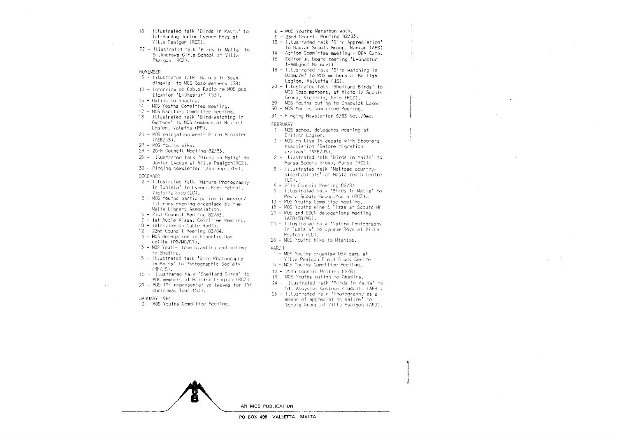- 18- Illustrated talk 'Birds in Malta' to lal-Handaq Junior Lyceum Boys at Villa Psaigon (RCZJ.
- 27- Illustrated talk 'Birds in Malta' to St.Andrews Girls School at Villa Psaigon (RCZ).
- NOVEMBER
- $5 1$ ilustrated talk 'Nature in Scandinavia' to MOS Gozo members (58).
- 10- Interview on Cable Radio re MOS publication 'L-Ghasfur' (58).
- 13- Outing to Ghadira.
- 14 MOS Youths Committee meeting.
- ·!7 MOS Rarities Committee meeting.
- 18- Illustrated talk 'Bird-watching in Germany' to MOS members at British Legion, Valetta (PP).
- 21 MOS delegation meets Prime Minister (AEB/JS).
- 27 MOS Youths hike.
- 28- 20th Council Meeting 82/83.
- 29- Illustrated talk 'Birds in Malta' Junior Lyceum at Villa Psaigon(RCZ).
- 30 Ringing Newsletter 5/83
- DECEMBER
- 2- Illustrated talk 'Nature Photography in lunisia' to Lyceum Boys School, Victoria Gozo  $(1C)$ .
- $2 MOS$  Youths participation in musico/ literary evening organised by the Malta Library Association,
- $5 21$ st Council Meeting 82/83.
- 7- 1st Audlo VisuaL Committee Meeting.
- 10- Interview on Cable Radio.
- 12 22nd Council Meeting 83/84.
- 13 MOS delegation in Republic Day defile (PB/MG/Rl).
- 13- MOS Youths tree planting and outing to Ghadira.
- 15- Illustrated talk 'Bird in Malta' to Photographic Society  $(NF/JS)$ .
- 16- Illustrated talk 'Shetland Birds' to MOS members at British Leagion (RCZ) 27 - MOS IYF representative leaves for IYF
- Christmas lour (581.
- JA.NUARY 1984
- 2 MOS Youths Committee Meeting.
- 8 MOS Youths Marathon walk.
- 9 23rd Council Meeting 82/83.
- 13- Illustrated talk 'Bird Appreciation'
- to Naxxar Scouts Group, Naxxar (AEBl
- 14- Action Committee meeting- DBV Camp.
- 16- Editorial Board meeting 'L-Ghasfur l-Ambjent Natural!'.
- 18- Illustrated talk 'Bird-watchinq in Denmark' to MOS members at British Legion, Valletta (JS).
- 20- Illustrated talk 'Shetland Birds' to MDS Gozo members, at Victoria Scouts Group, Victoria, Gozo (RCZ).
- 29 MOS Youths outling to Chadwick Lakes.
- 30 MOS Youths Committee Meeting.
- 31 Ringing Newsletter 6/83 Nov./Dec.
- FEBRUARY
	- 1 MOS school delegates meeting at British Leaion.
	- 1 MOS on live 1V debate with Shooters Association 'Before migration arrives' (AEB/JS).
	- 2- ILLustrated talk 'Birds in Malta' to Marsa Scouts Group, Marsa (RCZ).
	- $5$  Illustrated talk 'Maltese countryside/habitats' at Mosta Youth Centre  $(1C)$
	- 6- 24th Council Meetino 82/83.
	- 9- Illustrated talk 'Birds in Malta' to Mosta Scouts Group, Mosta (RCZ).
	- 13 MOS Youths Committee meeting.
	- 18 MOS Youths Wine & Pizza at Scouts HQ
	- 20 MOS and SSCN delecations meeting ( AEB/SB/MG l.
- 21 Illustrated talk 'Nature Photography in lunisia' to Lyceum Boys at Villa Psaigon (LC).
- 26- MOS Youths hike to Mtahleb.
- MARCH
	- 1 MOS Youths organise DBV camp at Villa Psaigon Field Study Centre,
	- $5$  MOS Youths Committee Meeting.
	- $12 25$ th. Council Meeting  $82/83$ .
	- 18 MOS Youths outing to Ghadira.
	- $24 1$ llustrated talk 'Birds in Malta' to St. Aloysius College students (AEB).
	- $25$  Illustrated talk 'Photography as a means of appreciating nature' to Scouts Group at Villa Psaigon (AEB).



PO BOX 498 VALLETTA MALTA.